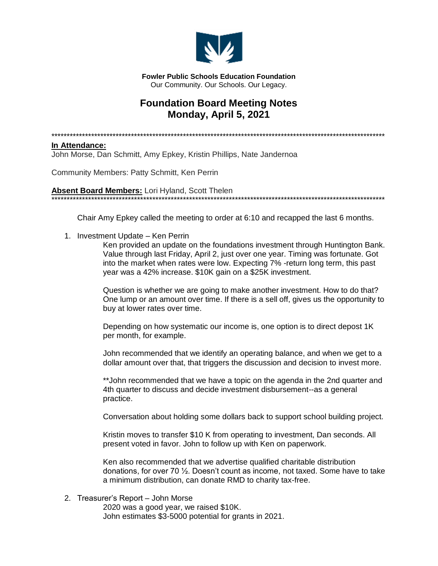

**Fowler Public Schools Education Foundation** Our Community, Our Schools, Our Legacy,

## **Foundation Board Meeting Notes** Monday, April 5, 2021

## In Attendance:

John Morse, Dan Schmitt, Amy Epkey, Kristin Phillips, Nate Jandernoa

Community Members: Patty Schmitt, Ken Perrin

**Absent Board Members:** Lori Hyland, Scott Thelen

Chair Amy Epkey called the meeting to order at 6:10 and recapped the last 6 months.

1. Investment Update - Ken Perrin

Ken provided an update on the foundations investment through Huntington Bank. Value through last Friday, April 2, just over one year. Timing was fortunate. Got into the market when rates were low. Expecting 7% -return long term, this past year was a 42% increase. \$10K gain on a \$25K investment.

\*\*\*\*\*\*\*\*\*\*\*\*\*\*\*\*\*\*\*\*\*\*\*\*\*\*\*\*\*\*\*\*\*\*\*\*

Question is whether we are going to make another investment. How to do that? One lump or an amount over time. If there is a sell off, gives us the opportunity to buy at lower rates over time.

Depending on how systematic our income is, one option is to direct depost 1K per month, for example.

John recommended that we identify an operating balance, and when we get to a dollar amount over that, that triggers the discussion and decision to invest more.

\*\*John recommended that we have a topic on the agenda in the 2nd quarter and 4th quarter to discuss and decide investment disbursement--as a general practice.

Conversation about holding some dollars back to support school building project.

Kristin moves to transfer \$10 K from operating to investment, Dan seconds. All present voted in favor. John to follow up with Ken on paperwork.

Ken also recommended that we advertise qualified charitable distribution donations, for over 70 1/2. Doesn't count as income, not taxed. Some have to take a minimum distribution, can donate RMD to charity tax-free.

## 2. Treasurer's Report - John Morse

2020 was a good year, we raised \$10K. John estimates \$3-5000 potential for grants in 2021.